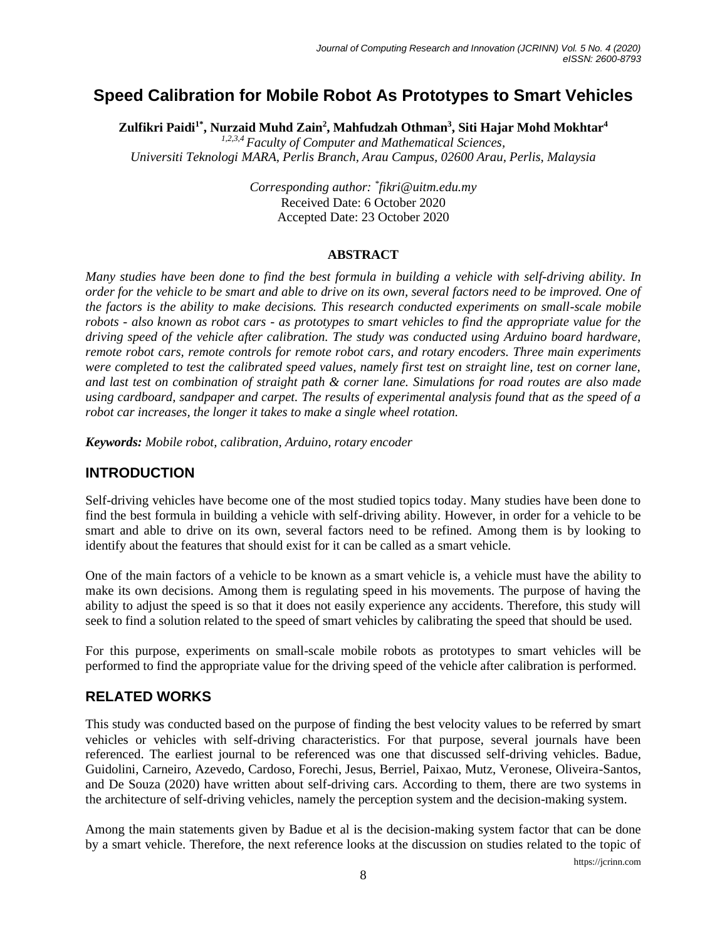# **Speed Calibration for Mobile Robot As Prototypes to Smart Vehicles**

**Zulfikri Paidi1\* , Nurzaid Muhd Zain<sup>2</sup> , Mahfudzah Othman<sup>3</sup> , Siti Hajar Mohd Mokhtar<sup>4</sup>** *1,2,3,4 Faculty of Computer and Mathematical Sciences, Universiti Teknologi MARA, Perlis Branch, Arau Campus, 02600 Arau, Perlis, Malaysia*

> *Corresponding author: \* fikri@uitm.edu.my* Received Date: 6 October 2020 Accepted Date: 23 October 2020

#### **ABSTRACT**

*Many studies have been done to find the best formula in building a vehicle with self-driving ability. In order for the vehicle to be smart and able to drive on its own, several factors need to be improved. One of the factors is the ability to make decisions. This research conducted experiments on small-scale mobile robots - also known as robot cars - as prototypes to smart vehicles to find the appropriate value for the driving speed of the vehicle after calibration. The study was conducted using Arduino board hardware, remote robot cars, remote controls for remote robot cars, and rotary encoders. Three main experiments were completed to test the calibrated speed values, namely first test on straight line, test on corner lane, and last test on combination of straight path & corner lane. Simulations for road routes are also made using cardboard, sandpaper and carpet. The results of experimental analysis found that as the speed of a robot car increases, the longer it takes to make a single wheel rotation.*

*Keywords: Mobile robot, calibration, Arduino, rotary encoder*

## **INTRODUCTION**

Self-driving vehicles have become one of the most studied topics today. Many studies have been done to find the best formula in building a vehicle with self-driving ability. However, in order for a vehicle to be smart and able to drive on its own, several factors need to be refined. Among them is by looking to identify about the features that should exist for it can be called as a smart vehicle.

One of the main factors of a vehicle to be known as a smart vehicle is, a vehicle must have the ability to make its own decisions. Among them is regulating speed in his movements. The purpose of having the ability to adjust the speed is so that it does not easily experience any accidents. Therefore, this study will seek to find a solution related to the speed of smart vehicles by calibrating the speed that should be used.

For this purpose, experiments on small-scale mobile robots as prototypes to smart vehicles will be performed to find the appropriate value for the driving speed of the vehicle after calibration is performed.

## **RELATED WORKS**

This study was conducted based on the purpose of finding the best velocity values to be referred by smart vehicles or vehicles with self-driving characteristics. For that purpose, several journals have been referenced. The earliest journal to be referenced was one that discussed self-driving vehicles. Badue, Guidolini, Carneiro, Azevedo, Cardoso, Forechi, Jesus, Berriel, Paixao, Mutz, Veronese, Oliveira-Santos, and De Souza (2020) have written about self-driving cars. According to them, there are two systems in the architecture of self-driving vehicles, namely the perception system and the decision-making system.

Among the main statements given by Badue et al is the decision-making system factor that can be done by a smart vehicle. Therefore, the next reference looks at the discussion on studies related to the topic of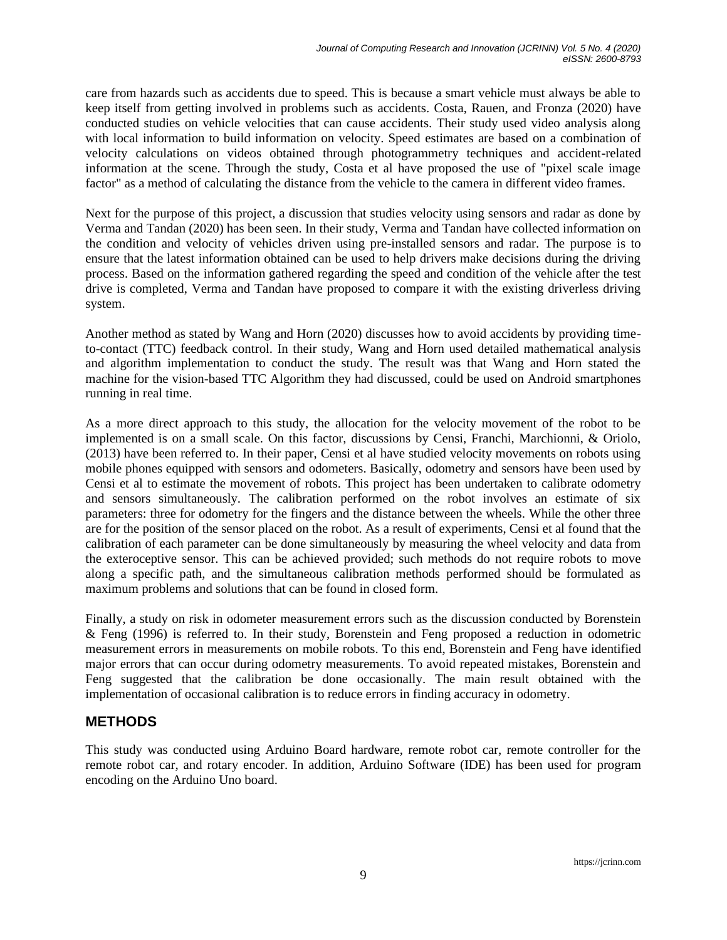care from hazards such as accidents due to speed. This is because a smart vehicle must always be able to keep itself from getting involved in problems such as accidents. Costa, Rauen, and Fronza (2020) have conducted studies on vehicle velocities that can cause accidents. Their study used video analysis along with local information to build information on velocity. Speed estimates are based on a combination of velocity calculations on videos obtained through photogrammetry techniques and accident-related information at the scene. Through the study, Costa et al have proposed the use of "pixel scale image factor" as a method of calculating the distance from the vehicle to the camera in different video frames.

Next for the purpose of this project, a discussion that studies velocity using sensors and radar as done by Verma and Tandan (2020) has been seen. In their study, Verma and Tandan have collected information on the condition and velocity of vehicles driven using pre-installed sensors and radar. The purpose is to ensure that the latest information obtained can be used to help drivers make decisions during the driving process. Based on the information gathered regarding the speed and condition of the vehicle after the test drive is completed, Verma and Tandan have proposed to compare it with the existing driverless driving system.

Another method as stated by Wang and Horn (2020) discusses how to avoid accidents by providing timeto-contact (TTC) feedback control. In their study, Wang and Horn used detailed mathematical analysis and algorithm implementation to conduct the study. The result was that Wang and Horn stated the machine for the vision-based TTC Algorithm they had discussed, could be used on Android smartphones running in real time.

As a more direct approach to this study, the allocation for the velocity movement of the robot to be implemented is on a small scale. On this factor, discussions by Censi, Franchi, Marchionni, & Oriolo, (2013) have been referred to. In their paper, Censi et al have studied velocity movements on robots using mobile phones equipped with sensors and odometers. Basically, odometry and sensors have been used by Censi et al to estimate the movement of robots. This project has been undertaken to calibrate odometry and sensors simultaneously. The calibration performed on the robot involves an estimate of six parameters: three for odometry for the fingers and the distance between the wheels. While the other three are for the position of the sensor placed on the robot. As a result of experiments, Censi et al found that the calibration of each parameter can be done simultaneously by measuring the wheel velocity and data from the exteroceptive sensor. This can be achieved provided; such methods do not require robots to move along a specific path, and the simultaneous calibration methods performed should be formulated as maximum problems and solutions that can be found in closed form.

Finally, a study on risk in odometer measurement errors such as the discussion conducted by Borenstein & Feng (1996) is referred to. In their study, Borenstein and Feng proposed a reduction in odometric measurement errors in measurements on mobile robots. To this end, Borenstein and Feng have identified major errors that can occur during odometry measurements. To avoid repeated mistakes, Borenstein and Feng suggested that the calibration be done occasionally. The main result obtained with the implementation of occasional calibration is to reduce errors in finding accuracy in odometry.

## **METHODS**

This study was conducted using Arduino Board hardware, remote robot car, remote controller for the remote robot car, and rotary encoder. In addition, Arduino Software (IDE) has been used for program encoding on the Arduino Uno board.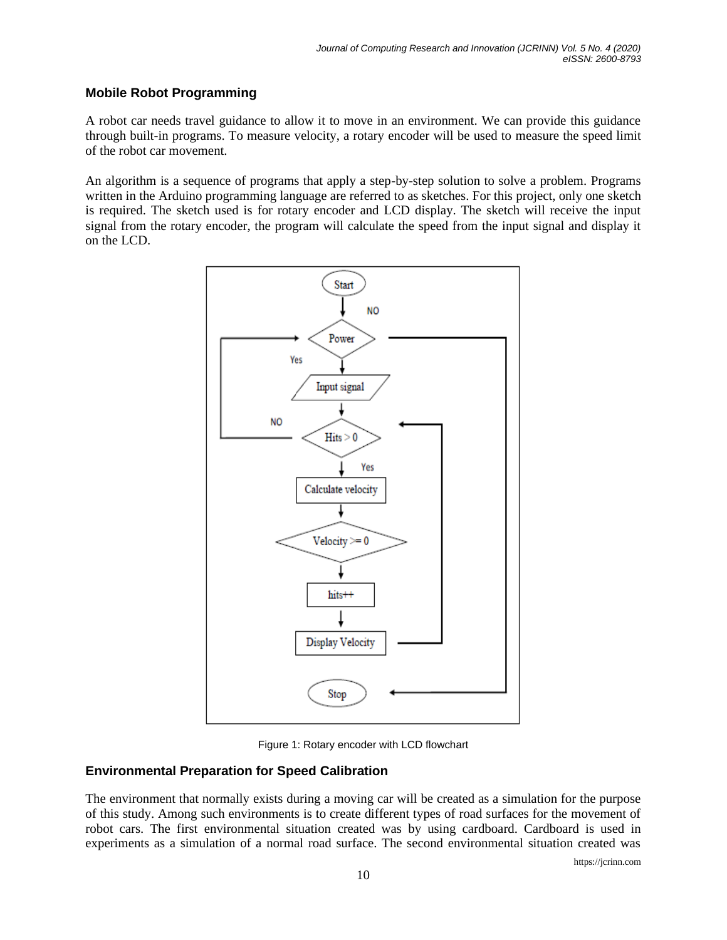## **Mobile Robot Programming**

A robot car needs travel guidance to allow it to move in an environment. We can provide this guidance through built-in programs. To measure velocity, a rotary encoder will be used to measure the speed limit of the robot car movement.

An algorithm is a sequence of programs that apply a step-by-step solution to solve a problem. Programs written in the Arduino programming language are referred to as sketches. For this project, only one sketch is required. The sketch used is for rotary encoder and LCD display. The sketch will receive the input signal from the rotary encoder, the program will calculate the speed from the input signal and display it on the LCD.



Figure 1: Rotary encoder with LCD flowchart

## **Environmental Preparation for Speed Calibration**

The environment that normally exists during a moving car will be created as a simulation for the purpose of this study. Among such environments is to create different types of road surfaces for the movement of robot cars. The first environmental situation created was by using cardboard. Cardboard is used in experiments as a simulation of a normal road surface. The second environmental situation created was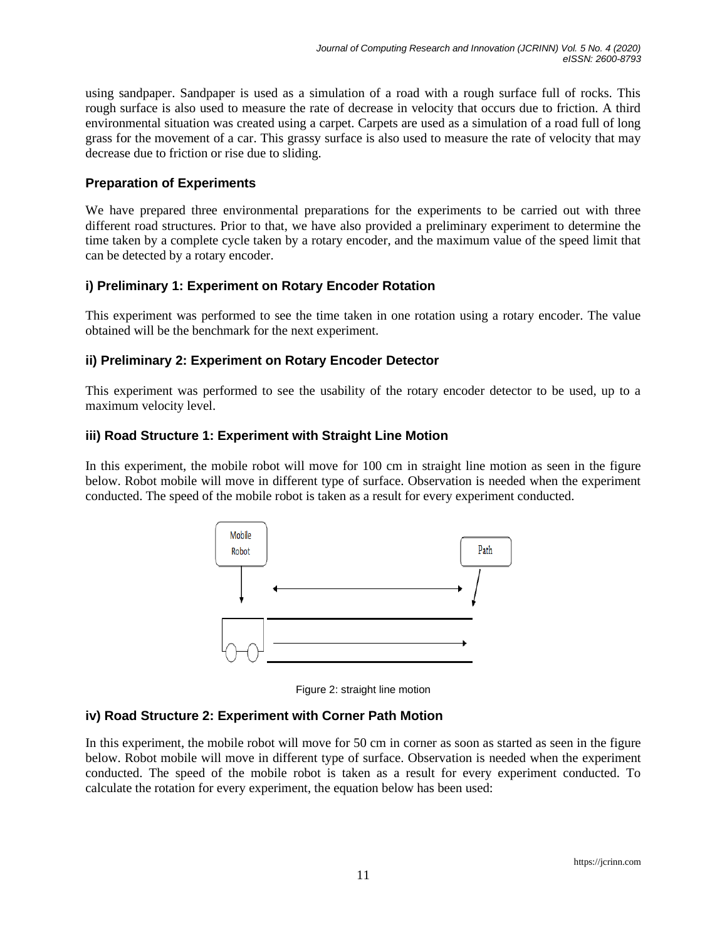using sandpaper. Sandpaper is used as a simulation of a road with a rough surface full of rocks. This rough surface is also used to measure the rate of decrease in velocity that occurs due to friction. A third environmental situation was created using a carpet. Carpets are used as a simulation of a road full of long grass for the movement of a car. This grassy surface is also used to measure the rate of velocity that may decrease due to friction or rise due to sliding.

## **Preparation of Experiments**

We have prepared three environmental preparations for the experiments to be carried out with three different road structures. Prior to that, we have also provided a preliminary experiment to determine the time taken by a complete cycle taken by a rotary encoder, and the maximum value of the speed limit that can be detected by a rotary encoder.

### **i) Preliminary 1: Experiment on Rotary Encoder Rotation**

This experiment was performed to see the time taken in one rotation using a rotary encoder. The value obtained will be the benchmark for the next experiment.

### **ii) Preliminary 2: Experiment on Rotary Encoder Detector**

This experiment was performed to see the usability of the rotary encoder detector to be used, up to a maximum velocity level.

#### **iii) Road Structure 1: Experiment with Straight Line Motion**

In this experiment, the mobile robot will move for 100 cm in straight line motion as seen in the figure below. Robot mobile will move in different type of surface. Observation is needed when the experiment conducted. The speed of the mobile robot is taken as a result for every experiment conducted.





## **iv) Road Structure 2: Experiment with Corner Path Motion**

In this experiment, the mobile robot will move for 50 cm in corner as soon as started as seen in the figure below. Robot mobile will move in different type of surface. Observation is needed when the experiment conducted. The speed of the mobile robot is taken as a result for every experiment conducted. To calculate the rotation for every experiment, the equation below has been used: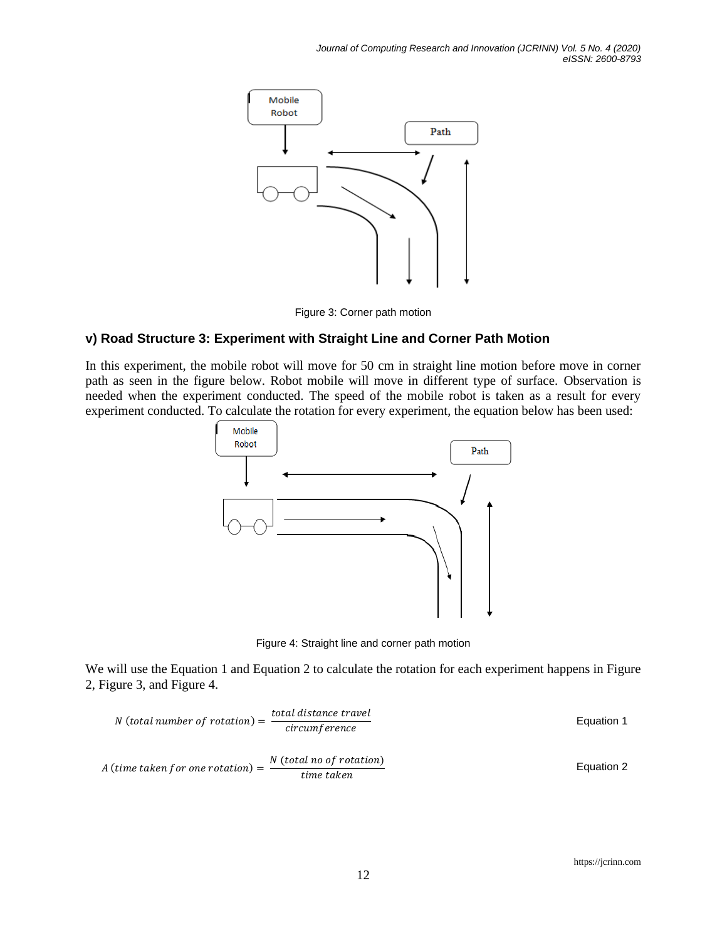



#### **v) Road Structure 3: Experiment with Straight Line and Corner Path Motion**

In this experiment, the mobile robot will move for 50 cm in straight line motion before move in corner path as seen in the figure below. Robot mobile will move in different type of surface. Observation is needed when the experiment conducted. The speed of the mobile robot is taken as a result for every experiment conducted. To calculate the rotation for every experiment, the equation below has been used:



Figure 4: Straight line and corner path motion

We will use the Equation 1 and Equation 2 to calculate the rotation for each experiment happens in Figure 2, Figure 3, and Figure 4.

$$
N (total number of rotation) = \frac{total distance travel}{circumference}
$$
\n
$$
A (time taken for one rotation) = \frac{N (total no of rotation)}{time taken}
$$
\nEquation 2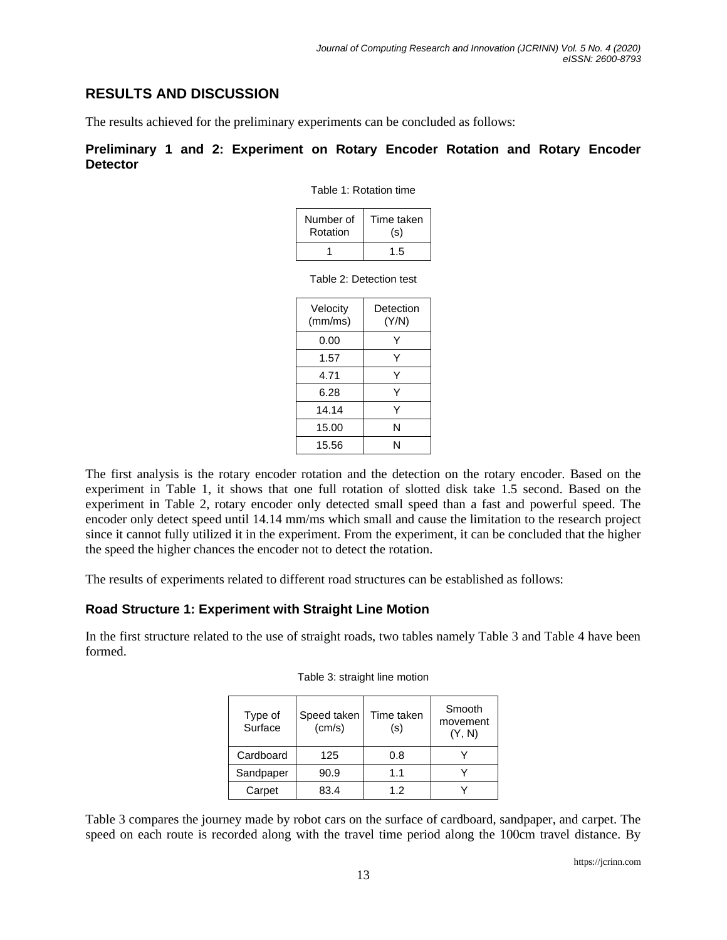## **RESULTS AND DISCUSSION**

The results achieved for the preliminary experiments can be concluded as follows:

#### **Preliminary 1 and 2: Experiment on Rotary Encoder Rotation and Rotary Encoder Detector**

Table 1: Rotation time

| Number of | Time taken |
|-----------|------------|
| Rotation  | (s)        |
|           | 1.5        |

|  | Table 2: Detection test |  |
|--|-------------------------|--|
|--|-------------------------|--|

| Velocity<br>(mm/ms) | Detection<br>(Y/N) |
|---------------------|--------------------|
| 0.00                | v                  |
| 1.57                | Y                  |
| 4.71                | Y                  |
| 6.28                | Y                  |
| 14.14               | Y                  |
| 15.00               | N                  |
| 15.56               | N                  |

The first analysis is the rotary encoder rotation and the detection on the rotary encoder. Based on the experiment in Table 1, it shows that one full rotation of slotted disk take 1.5 second. Based on the experiment in Table 2, rotary encoder only detected small speed than a fast and powerful speed. The encoder only detect speed until 14.14 mm/ms which small and cause the limitation to the research project since it cannot fully utilized it in the experiment. From the experiment, it can be concluded that the higher the speed the higher chances the encoder not to detect the rotation.

The results of experiments related to different road structures can be established as follows:

#### **Road Structure 1: Experiment with Straight Line Motion**

In the first structure related to the use of straight roads, two tables namely Table 3 and Table 4 have been formed.

| Type of<br>Surface | Speed taken<br>(cm/s) | Time taken<br>(s) | Smooth<br>movement<br>(Y, N) |
|--------------------|-----------------------|-------------------|------------------------------|
| Cardboard          | 125                   | 0.8               |                              |
| Sandpaper          | 90.9                  | 1.1               |                              |
| Carpet             | 83.4                  | 12                |                              |

Table 3 compares the journey made by robot cars on the surface of cardboard, sandpaper, and carpet. The speed on each route is recorded along with the travel time period along the 100cm travel distance. By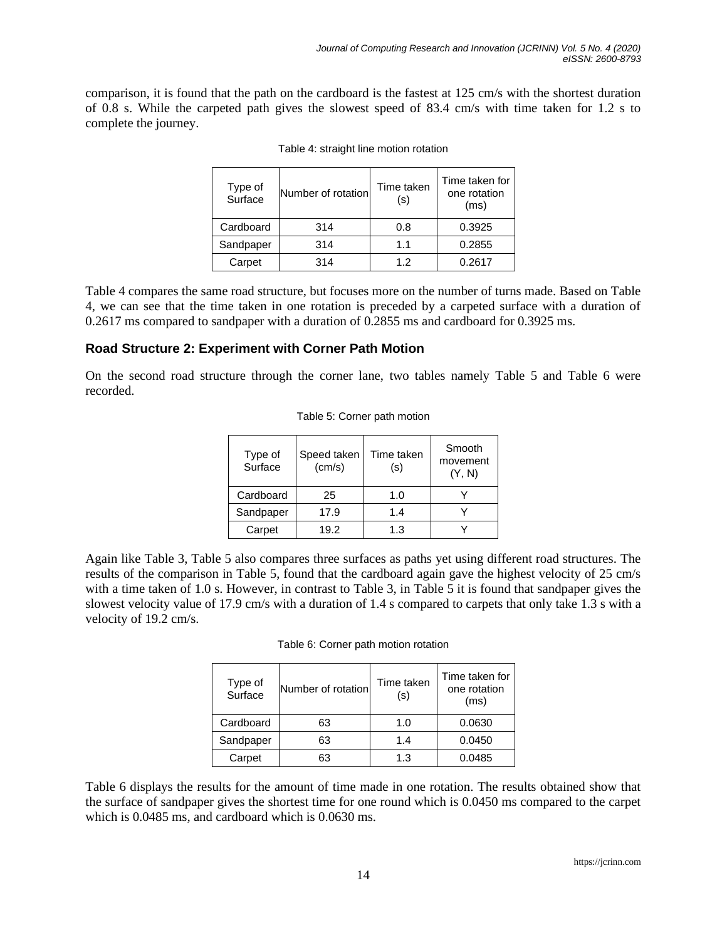comparison, it is found that the path on the cardboard is the fastest at 125 cm/s with the shortest duration of 0.8 s. While the carpeted path gives the slowest speed of 83.4 cm/s with time taken for 1.2 s to complete the journey.

| Type of<br>Surface | Number of rotation | Time taken<br>(s) | Time taken for<br>one rotation<br>(ms) |
|--------------------|--------------------|-------------------|----------------------------------------|
| Cardboard          | 314                | 0.8               | 0.3925                                 |
| Sandpaper          | 314                | 1.1               | 0.2855                                 |
| Carpet             | 314                | 12                | 0.2617                                 |

Table 4 compares the same road structure, but focuses more on the number of turns made. Based on Table 4, we can see that the time taken in one rotation is preceded by a carpeted surface with a duration of 0.2617 ms compared to sandpaper with a duration of 0.2855 ms and cardboard for 0.3925 ms.

#### **Road Structure 2: Experiment with Corner Path Motion**

On the second road structure through the corner lane, two tables namely Table 5 and Table 6 were recorded.

| Type of<br>Surface | Speed taken<br>(cm/s) | Time taken<br>(s) | Smooth<br>movement<br>(Y, N) |
|--------------------|-----------------------|-------------------|------------------------------|
| Cardboard          | 25                    | 1.0               |                              |
| Sandpaper          | 17.9                  | 1.4               |                              |
| Carpet             | 19.2                  | 1.3               |                              |

Table 5: Corner path motion

Again like Table 3, Table 5 also compares three surfaces as paths yet using different road structures. The results of the comparison in Table 5, found that the cardboard again gave the highest velocity of 25 cm/s with a time taken of 1.0 s. However, in contrast to Table 3, in Table 5 it is found that sandpaper gives the slowest velocity value of 17.9 cm/s with a duration of 1.4 s compared to carpets that only take 1.3 s with a velocity of 19.2 cm/s.

| Type of<br>Surface | Number of rotation | Time taken<br>(s) | Time taken for<br>one rotation<br>(ms) |
|--------------------|--------------------|-------------------|----------------------------------------|
| Cardboard          | 63                 | 1.0               | 0.0630                                 |
| Sandpaper          | 63                 | 1.4               | 0.0450                                 |
| Carpet             | 63                 | 1.3               | 0.0485                                 |

Table 6 displays the results for the amount of time made in one rotation. The results obtained show that the surface of sandpaper gives the shortest time for one round which is 0.0450 ms compared to the carpet which is 0.0485 ms, and cardboard which is 0.0630 ms.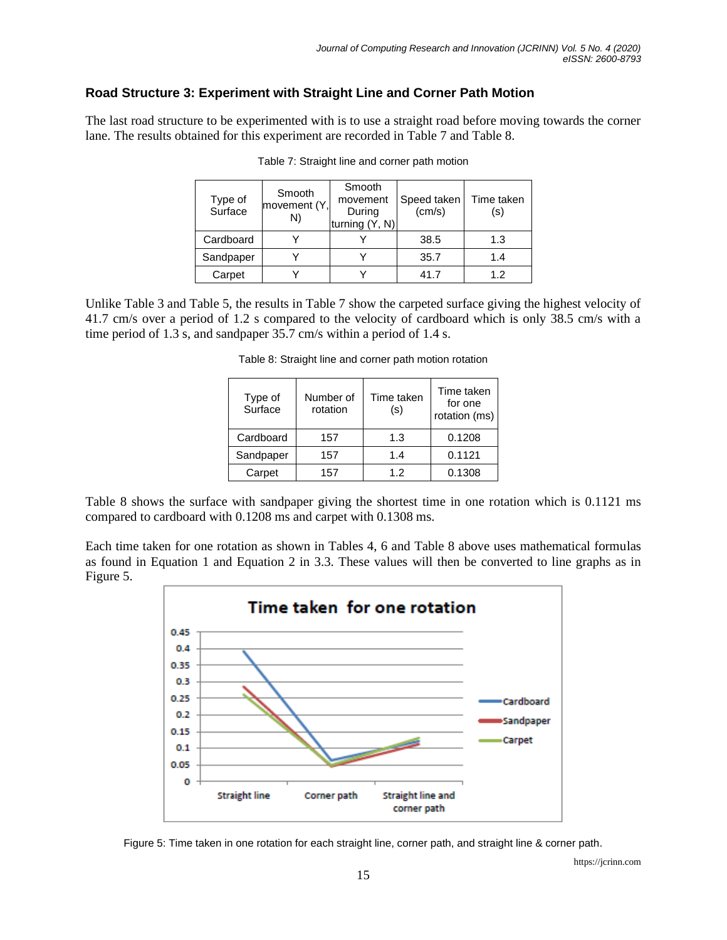### **Road Structure 3: Experiment with Straight Line and Corner Path Motion**

The last road structure to be experimented with is to use a straight road before moving towards the corner lane. The results obtained for this experiment are recorded in Table 7 and Table 8.

| Type of<br>Surface | Smooth<br>movement (Y,<br>N) | Smooth<br>movement<br>During<br>turning (Y, N) | Speed taken<br>(cm/s) | Time taken<br>(s) |
|--------------------|------------------------------|------------------------------------------------|-----------------------|-------------------|
| Cardboard          |                              |                                                | 38.5                  | 1.3               |
| Sandpaper          |                              |                                                | 35.7                  | 1.4               |
| Carpet             |                              |                                                | 41.7                  | 12                |

Table 7: Straight line and corner path motion

Unlike Table 3 and Table 5, the results in Table 7 show the carpeted surface giving the highest velocity of 41.7 cm/s over a period of 1.2 s compared to the velocity of cardboard which is only 38.5 cm/s with a time period of 1.3 s, and sandpaper 35.7 cm/s within a period of 1.4 s.

| Table 8: Straight line and corner path motion rotation |  |
|--------------------------------------------------------|--|
|--------------------------------------------------------|--|

| Type of<br>Surface | Number of<br>rotation | Time taken<br>(s) | Time taken<br>for one<br>rotation (ms) |
|--------------------|-----------------------|-------------------|----------------------------------------|
| Cardboard          | 157                   | 1.3               | 0.1208                                 |
| Sandpaper          | 157                   | 1.4               | 0.1121                                 |
| Carpet             | 157                   | 1.2               | 0.1308                                 |

Table 8 shows the surface with sandpaper giving the shortest time in one rotation which is 0.1121 ms compared to cardboard with 0.1208 ms and carpet with 0.1308 ms.

Each time taken for one rotation as shown in Tables 4, 6 and Table 8 above uses mathematical formulas as found in Equation 1 and Equation 2 in 3.3. These values will then be converted to line graphs as in Figure 5.



Figure 5: Time taken in one rotation for each straight line, corner path, and straight line & corner path.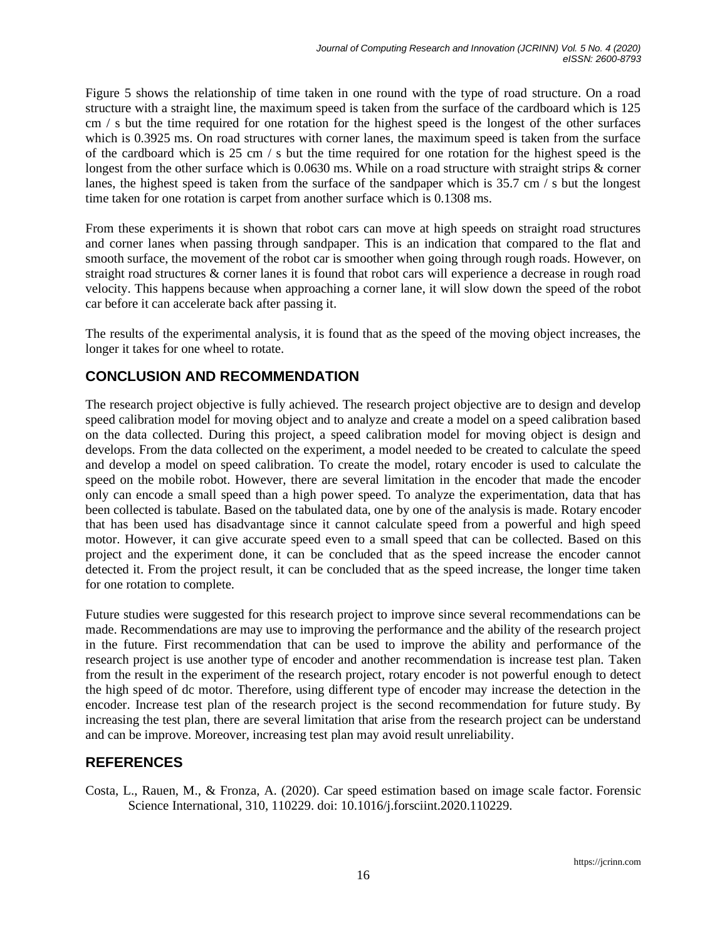Figure 5 shows the relationship of time taken in one round with the type of road structure. On a road structure with a straight line, the maximum speed is taken from the surface of the cardboard which is 125 cm / s but the time required for one rotation for the highest speed is the longest of the other surfaces which is 0.3925 ms. On road structures with corner lanes, the maximum speed is taken from the surface of the cardboard which is 25 cm  $/$  s but the time required for one rotation for the highest speed is the longest from the other surface which is 0.0630 ms. While on a road structure with straight strips & corner lanes, the highest speed is taken from the surface of the sandpaper which is 35.7 cm / s but the longest time taken for one rotation is carpet from another surface which is 0.1308 ms.

From these experiments it is shown that robot cars can move at high speeds on straight road structures and corner lanes when passing through sandpaper. This is an indication that compared to the flat and smooth surface, the movement of the robot car is smoother when going through rough roads. However, on straight road structures & corner lanes it is found that robot cars will experience a decrease in rough road velocity. This happens because when approaching a corner lane, it will slow down the speed of the robot car before it can accelerate back after passing it.

The results of the experimental analysis, it is found that as the speed of the moving object increases, the longer it takes for one wheel to rotate.

## **CONCLUSION AND RECOMMENDATION**

The research project objective is fully achieved. The research project objective are to design and develop speed calibration model for moving object and to analyze and create a model on a speed calibration based on the data collected. During this project, a speed calibration model for moving object is design and develops. From the data collected on the experiment, a model needed to be created to calculate the speed and develop a model on speed calibration. To create the model, rotary encoder is used to calculate the speed on the mobile robot. However, there are several limitation in the encoder that made the encoder only can encode a small speed than a high power speed. To analyze the experimentation, data that has been collected is tabulate. Based on the tabulated data, one by one of the analysis is made. Rotary encoder that has been used has disadvantage since it cannot calculate speed from a powerful and high speed motor. However, it can give accurate speed even to a small speed that can be collected. Based on this project and the experiment done, it can be concluded that as the speed increase the encoder cannot detected it. From the project result, it can be concluded that as the speed increase, the longer time taken for one rotation to complete.

Future studies were suggested for this research project to improve since several recommendations can be made. Recommendations are may use to improving the performance and the ability of the research project in the future. First recommendation that can be used to improve the ability and performance of the research project is use another type of encoder and another recommendation is increase test plan. Taken from the result in the experiment of the research project, rotary encoder is not powerful enough to detect the high speed of dc motor. Therefore, using different type of encoder may increase the detection in the encoder. Increase test plan of the research project is the second recommendation for future study. By increasing the test plan, there are several limitation that arise from the research project can be understand and can be improve. Moreover, increasing test plan may avoid result unreliability.

## **REFERENCES**

Costa, L., Rauen, M., & Fronza, A. (2020). Car speed estimation based on image scale factor. Forensic Science International, 310, 110229. doi: 10.1016/j.forsciint.2020.110229.